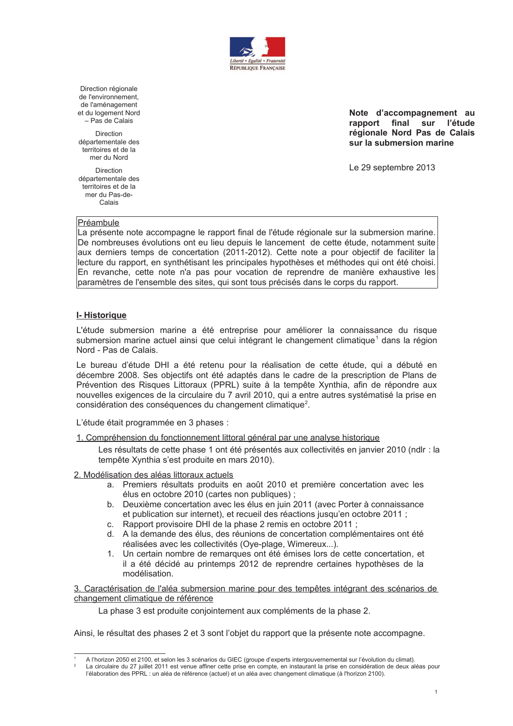

Direction régionale de l'environnement, de l'aménagement et du logement Nord - Pas de Calais

Direction dénartementale des territoires et de la mer du Nord

Direction départementale des territoires et de la mer du Pas-de-Calais

Note d'accompagnement au rapport final sur l'étude régionale Nord Pas de Calais sur la submersion marine

Le 29 septembre 2013

## Préambule

La présente note accompagne le rapport final de l'étude régionale sur la submersion marine. De nombreuses évolutions ont eu lieu depuis le lancement de cette étude, notamment suite aux derniers temps de concertation (2011-2012). Cette note a pour objectif de faciliter la lecture du rapport, en synthétisant les principales hypothèses et méthodes qui ont été choisi. En revanche, cette note n'a pas pour vocation de reprendre de manière exhaustive les paramètres de l'ensemble des sites, qui sont tous précisés dans le corps du rapport.

## I-Historique

L'étude submersion marine a été entreprise pour améliorer la connaissance du risque submersion marine actuel ainsi que celui intégrant le changement climatique<sup>1</sup> dans la région Nord - Pas de Calais

Le bureau d'étude DHI a été retenu pour la réalisation de cette étude, qui a débuté en décembre 2008. Ses objectifs ont été adaptés dans le cadre de la prescription de Plans de Prévention des Risques Littoraux (PPRL) suite à la tempête Xynthia, afin de répondre aux nouvelles exigences de la circulaire du 7 avril 2010, qui a entre autres systématisé la prise en considération des conséquences du changement climatique<sup>2</sup>.

L'étude était programmée en 3 phases :

1. Compréhension du fonctionnement littoral général par une analyse historique

Les résultats de cette phase 1 ont été présentés aux collectivités en janvier 2010 (ndlr : la tempête Xynthia s'est produite en mars 2010).

2. Modélisation des aléas littoraux actuels

- a. Premiers résultats produits en août 2010 et première concertation avec les élus en octobre 2010 (cartes non publiques) ;
- b. Deuxième concertation avec les élus en juin 2011 (avec Porter à connaissance et publication sur internet), et recueil des réactions jusqu'en octobre 2011 ;
- c. Rapport provisoire DHI de la phase 2 remis en octobre 2011;
- d. A la demande des élus, des réunions de concertation complémentaires ont été réalisées avec les collectivités (Oye-plage, Wimereux...).
- 1. Un certain nombre de remarques ont été émises lors de cette concertation, et il a été décidé au printemps 2012 de reprendre certaines hypothèses de la modélisation.

3. Caractérisation de l'aléa submersion marine pour des tempêtes intégrant des scénarios de changement climatique de référence

La phase 3 est produite conjointement aux compléments de la phase 2.

Ainsi, le résultat des phases 2 et 3 sont l'objet du rapport que la présente note accompagne.

A l'horizon 2050 et 2100, et selon les 3 scénarios du GIEC (groupe d'experts intergouvernemental sur l'évolution du climat).

La circulaire du 27 juillet 2011 est venue affiner cette prise en compte, en instaurant la prise en considération de deux aléas pour l'élaboration des PPRL : un aléa de référence (actuel) et un aléa avec changement climatique (à l'horizon 2100).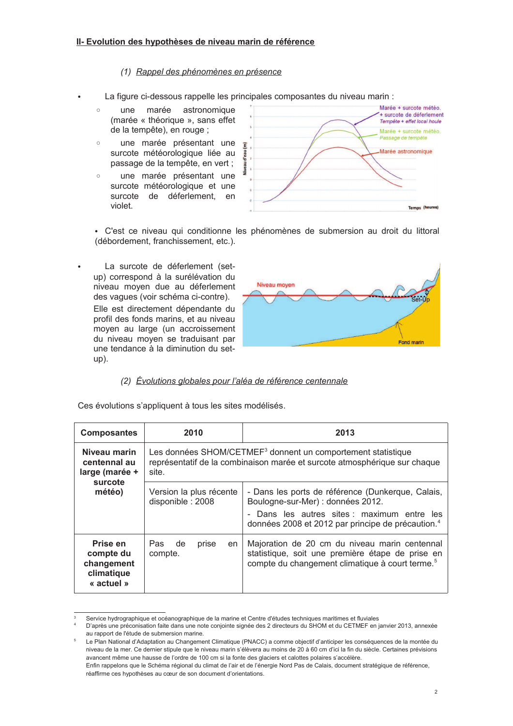## (1) Rappel des phénomènes en présence

- La figure ci-dessous rappelle les principales composantes du niveau marin :
	- $\circ$ une marée astronomique (marée « théorique », sans effet de la tempête), en rouge ;
	- une marée présentant une  $\circ$ surcote météorologique liée au passage de la tempête, en vert ;
	- une marée présentant une  $\sim$ surcote météorologique et une surcote de déferlement. en violet



· C'est ce niveau qui conditionne les phénomènes de submersion au droit du littoral (débordement, franchissement, etc.).

La surcote de déferlement (setup) correspond à la surélévation du niveau moyen due au déferlement des vagues (voir schéma ci-contre).

 $\bullet$ 

Elle est directement dépendante du profil des fonds marins, et au niveau moven au large (un accroissement du niveau moven se traduisant par une tendance à la diminution du set $up)$ .



## (2) Évolutions globales pour l'aléa de référence centennale

Ces évolutions s'appliquent à tous les sites modélisés.

| <b>Composantes</b>                                                  | 2010                                                                                                                                                           | 2013                                                                                                                                                                                                   |
|---------------------------------------------------------------------|----------------------------------------------------------------------------------------------------------------------------------------------------------------|--------------------------------------------------------------------------------------------------------------------------------------------------------------------------------------------------------|
| Niveau marin<br>centennal au<br>large (marée +<br>surcote<br>météo) | Les données SHOM/CETMEF <sup>3</sup> donnent un comportement statistique<br>représentatif de la combinaison marée et surcote atmosphérique sur chaque<br>site. |                                                                                                                                                                                                        |
|                                                                     | Version la plus récente<br>disponible: 2008                                                                                                                    | - Dans les ports de référence (Dunkerque, Calais,<br>Boulogne-sur-Mer) : données 2012.<br>- Dans les autres sites : maximum entre les<br>données 2008 et 2012 par principe de précaution. <sup>4</sup> |
| Prise en<br>compte du<br>changement<br>climatique<br>« actuel »     | Pas<br>de<br>prise<br>en<br>compte.                                                                                                                            | Majoration de 20 cm du niveau marin centennal<br>statistique, soit une première étape de prise en<br>compte du changement climatique à court terme. <sup>5</sup>                                       |

Service hydrographique et océanographique de la marine et Centre d'études techniques maritimes et fluviales

D'après une préconisation faite dans une note conjointe signée des 2 directeurs du SHOM et du CETMEF en janvier 2013, annexée au rapport de l'étude de submersion marine.

Le Plan National d'Adaptation au Changement Climatique (PNACC) a comme objectif d'anticiper les conséquences de la montée du niveau de la mer. Ce dernier stipule que le niveau marin s'élèvera au moins de 20 à 60 cm d'ici la fin du siècle. Certaines prévisions avancent même une hausse de l'ordre de 100 cm si la fonte des glaciers et calottes polaires s'accélère. Enfin rappelons que le Schéma régional du climat de l'air et de l'énergie Nord Pas de Calais, document stratégique de référence,

réaffirme ces hypothèses au cœur de son document d'orientations.